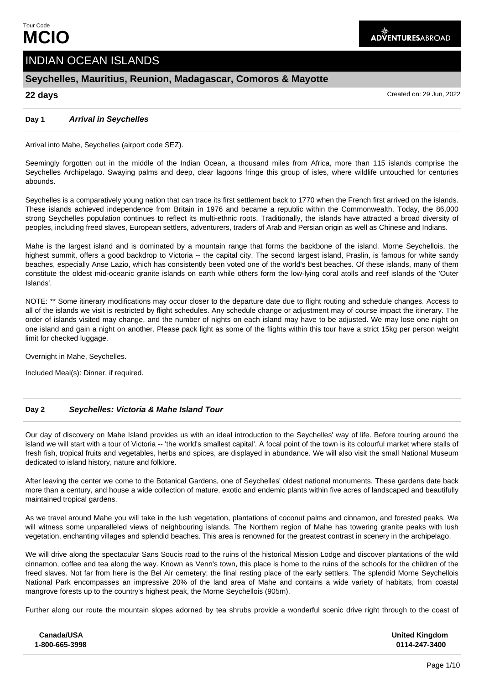# INDIAN OCEAN ISLANDS

## **Seychelles, Mauritius, Reunion, Madagascar, Comoros & Mayotte**

**22 days** Created on: 29 Jun, 2022

### **Day 1 Arrival in Seychelles**

Arrival into Mahe, Seychelles (airport code SEZ).

Seemingly forgotten out in the middle of the Indian Ocean, a thousand miles from Africa, more than 115 islands comprise the Seychelles Archipelago. Swaying palms and deep, clear lagoons fringe this group of isles, where wildlife untouched for centuries abounds.

Seychelles is a comparatively young nation that can trace its first settlement back to 1770 when the French first arrived on the islands. These islands achieved independence from Britain in 1976 and became a republic within the Commonwealth. Today, the 86,000 strong Seychelles population continues to reflect its multi-ethnic roots. Traditionally, the islands have attracted a broad diversity of peoples, including freed slaves, European settlers, adventurers, traders of Arab and Persian origin as well as Chinese and Indians.

Mahe is the largest island and is dominated by a mountain range that forms the backbone of the island. Morne Seychellois, the highest summit, offers a good backdrop to Victoria -- the capital city. The second largest island, Praslin, is famous for white sandy beaches, especially Anse Lazio, which has consistently been voted one of the world's best beaches. Of these islands, many of them constitute the oldest mid-oceanic granite islands on earth while others form the low-lying coral atolls and reef islands of the 'Outer Islands'.

NOTE: \*\* Some itinerary modifications may occur closer to the departure date due to flight routing and schedule changes. Access to all of the islands we visit is restricted by flight schedules. Any schedule change or adjustment may of course impact the itinerary. The order of islands visited may change, and the number of nights on each island may have to be adjusted. We may lose one night on one island and gain a night on another. Please pack light as some of the flights within this tour have a strict 15kg per person weight limit for checked luggage.

Overnight in Mahe, Seychelles.

Included Meal(s): Dinner, if required.

#### **Day 2 Seychelles: Victoria & Mahe Island Tour**

Our day of discovery on Mahe Island provides us with an ideal introduction to the Seychelles' way of life. Before touring around the island we will start with a tour of Victoria -- 'the world's smallest capital'. A focal point of the town is its colourful market where stalls of fresh fish, tropical fruits and vegetables, herbs and spices, are displayed in abundance. We will also visit the small National Museum dedicated to island history, nature and folklore.

After leaving the center we come to the Botanical Gardens, one of Seychelles' oldest national monuments. These gardens date back more than a century, and house a wide collection of mature, exotic and endemic plants within five acres of landscaped and beautifully maintained tropical gardens.

As we travel around Mahe you will take in the lush vegetation, plantations of coconut palms and cinnamon, and forested peaks. We will witness some unparalleled views of neighbouring islands. The Northern region of Mahe has towering granite peaks with lush vegetation, enchanting villages and splendid beaches. This area is renowned for the greatest contrast in scenery in the archipelago.

We will drive along the spectacular Sans Soucis road to the ruins of the historical Mission Lodge and discover plantations of the wild cinnamon, coffee and tea along the way. Known as Venn's town, this place is home to the ruins of the schools for the children of the freed slaves. Not far from here is the Bel Air cemetery; the final resting place of the early settlers. The splendid Morne Seychellois National Park encompasses an impressive 20% of the land area of Mahe and contains a wide variety of habitats, from coastal mangrove forests up to the country's highest peak, the Morne Seychellois (905m).

Further along our route the mountain slopes adorned by tea shrubs provide a wonderful scenic drive right through to the coast of

| <b>United Kingdom</b><br>0114-247-3400 |
|----------------------------------------|
|                                        |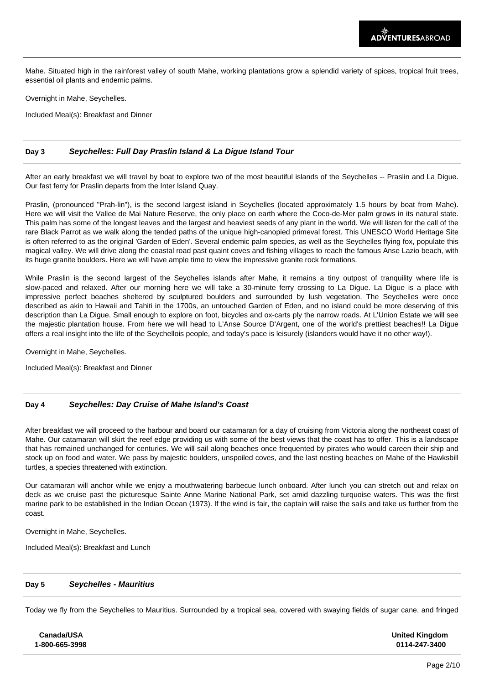Mahe. Situated high in the rainforest valley of south Mahe, working plantations grow a splendid variety of spices, tropical fruit trees, essential oil plants and endemic palms.

Overnight in Mahe, Seychelles.

Included Meal(s): Breakfast and Dinner

#### **Day 3 Seychelles: Full Day Praslin Island & La Digue Island Tour**

After an early breakfast we will travel by boat to explore two of the most beautiful islands of the Seychelles -- Praslin and La Digue. Our fast ferry for Praslin departs from the Inter Island Quay.

Praslin, (pronounced "Prah-lin"), is the second largest island in Seychelles (located approximately 1.5 hours by boat from Mahe). Here we will visit the Vallee de Mai Nature Reserve, the only place on earth where the Coco-de-Mer palm grows in its natural state. This palm has some of the longest leaves and the largest and heaviest seeds of any plant in the world. We will listen for the call of the rare Black Parrot as we walk along the tended paths of the unique high-canopied primeval forest. This UNESCO World Heritage Site is often referred to as the original 'Garden of Eden'. Several endemic palm species, as well as the Seychelles flying fox, populate this magical valley. We will drive along the coastal road past quaint coves and fishing villages to reach the famous Anse Lazio beach, with its huge granite boulders. Here we will have ample time to view the impressive granite rock formations.

While Praslin is the second largest of the Seychelles islands after Mahe, it remains a tiny outpost of tranquility where life is slow-paced and relaxed. After our morning here we will take a 30-minute ferry crossing to La Digue. La Digue is a place with impressive perfect beaches sheltered by sculptured boulders and surrounded by lush vegetation. The Seychelles were once described as akin to Hawaii and Tahiti in the 1700s, an untouched Garden of Eden, and no island could be more deserving of this description than La Digue. Small enough to explore on foot, bicycles and ox-carts ply the narrow roads. At L'Union Estate we will see the majestic plantation house. From here we will head to L'Anse Source D'Argent, one of the world's prettiest beaches!! La Digue offers a real insight into the life of the Seychellois people, and today's pace is leisurely (islanders would have it no other way!).

Overnight in Mahe, Seychelles.

Included Meal(s): Breakfast and Dinner

#### **Day 4 Seychelles: Day Cruise of Mahe Island's Coast**

After breakfast we will proceed to the harbour and board our catamaran for a day of cruising from Victoria along the northeast coast of Mahe. Our catamaran will skirt the reef edge providing us with some of the best views that the coast has to offer. This is a landscape that has remained unchanged for centuries. We will sail along beaches once frequented by pirates who would careen their ship and stock up on food and water. We pass by majestic boulders, unspoiled coves, and the last nesting beaches on Mahe of the Hawksbill turtles, a species threatened with extinction.

Our catamaran will anchor while we enjoy a mouthwatering barbecue lunch onboard. After lunch you can stretch out and relax on deck as we cruise past the picturesque Sainte Anne Marine National Park, set amid dazzling turquoise waters. This was the first marine park to be established in the Indian Ocean (1973). If the wind is fair, the captain will raise the sails and take us further from the coast.

Overnight in Mahe, Seychelles.

Included Meal(s): Breakfast and Lunch

#### **Day 5 Seychelles - Mauritius**

Today we fly from the Seychelles to Mauritius. Surrounded by a tropical sea, covered with swaying fields of sugar cane, and fringed

| Canada/USA     | <b>United Kingdom</b> |
|----------------|-----------------------|
| 1-800-665-3998 | 0114-247-3400         |
|                |                       |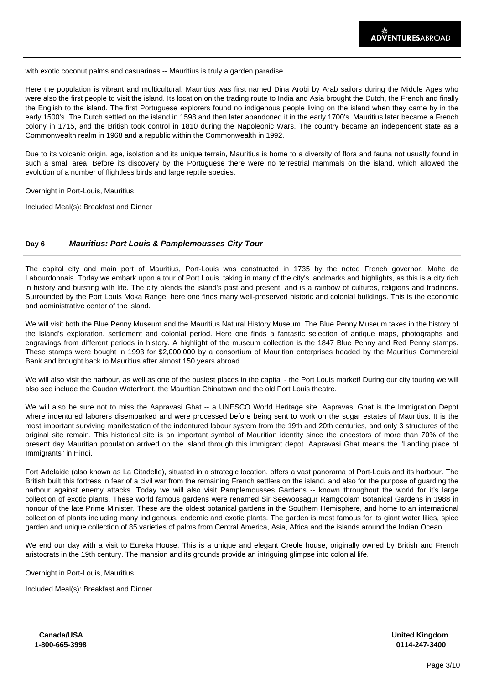with exotic coconut palms and casuarinas -- Mauritius is truly a garden paradise.

Here the population is vibrant and multicultural. Mauritius was first named Dina Arobi by Arab sailors during the Middle Ages who were also the first people to visit the island. Its location on the trading route to India and Asia brought the Dutch, the French and finally the English to the island. The first Portuguese explorers found no indigenous people living on the island when they came by in the early 1500's. The Dutch settled on the island in 1598 and then later abandoned it in the early 1700's. Mauritius later became a French colony in 1715, and the British took control in 1810 during the Napoleonic Wars. The country became an independent state as a Commonwealth realm in 1968 and a republic within the Commonwealth in 1992.

Due to its volcanic origin, age, isolation and its unique terrain, Mauritius is home to a diversity of flora and fauna not usually found in such a small area. Before its discovery by the Portuguese there were no terrestrial mammals on the island, which allowed the evolution of a number of flightless birds and large reptile species.

Overnight in Port-Louis, Mauritius.

Included Meal(s): Breakfast and Dinner

#### **Day 6 Mauritius: Port Louis & Pamplemousses City Tour**

The capital city and main port of Mauritius, Port-Louis was constructed in 1735 by the noted French governor, Mahe de Labourdonnais. Today we embark upon a tour of Port Louis, taking in many of the city's landmarks and highlights, as this is a city rich in history and bursting with life. The city blends the island's past and present, and is a rainbow of cultures, religions and traditions. Surrounded by the Port Louis Moka Range, here one finds many well-preserved historic and colonial buildings. This is the economic and administrative center of the island.

We will visit both the Blue Penny Museum and the Mauritius Natural History Museum. The Blue Penny Museum takes in the history of the island's exploration, settlement and colonial period. Here one finds a fantastic selection of antique maps, photographs and engravings from different periods in history. A highlight of the museum collection is the 1847 Blue Penny and Red Penny stamps. These stamps were bought in 1993 for \$2,000,000 by a consortium of Mauritian enterprises headed by the Mauritius Commercial Bank and brought back to Mauritius after almost 150 years abroad.

We will also visit the harbour, as well as one of the busiest places in the capital - the Port Louis market! During our city touring we will also see include the Caudan Waterfront, the Mauritian Chinatown and the old Port Louis theatre.

We will also be sure not to miss the Aapravasi Ghat -- a UNESCO World Heritage site. Aapravasi Ghat is the Immigration Depot where indentured laborers disembarked and were processed before being sent to work on the sugar estates of Mauritius. It is the most important surviving manifestation of the indentured labour system from the 19th and 20th centuries, and only 3 structures of the original site remain. This historical site is an important symbol of Mauritian identity since the ancestors of more than 70% of the present day Mauritian population arrived on the island through this immigrant depot. Aapravasi Ghat means the "Landing place of Immigrants" in Hindi.

Fort Adelaide (also known as La Citadelle), situated in a strategic location, offers a vast panorama of Port-Louis and its harbour. The British built this fortress in fear of a civil war from the remaining French settlers on the island, and also for the purpose of guarding the harbour against enemy attacks. Today we will also visit Pamplemousses Gardens -- known throughout the world for it's large collection of exotic plants. These world famous gardens were renamed Sir Seewoosagur Ramgoolam Botanical Gardens in 1988 in honour of the late Prime Minister. These are the oldest botanical gardens in the Southern Hemisphere, and home to an international collection of plants including many indigenous, endemic and exotic plants. The garden is most famous for its giant water lilies, spice garden and unique collection of 85 varieties of palms from Central America, Asia, Africa and the islands around the Indian Ocean.

We end our day with a visit to Eureka House. This is a unique and elegant Creole house, originally owned by British and French aristocrats in the 19th century. The mansion and its grounds provide an intriguing glimpse into colonial life.

Overnight in Port-Louis, Mauritius.

Included Meal(s): Breakfast and Dinner

| Canada/USA     |  |
|----------------|--|
| 1-800-665-3998 |  |

**United Kingdom 0114-247-3400**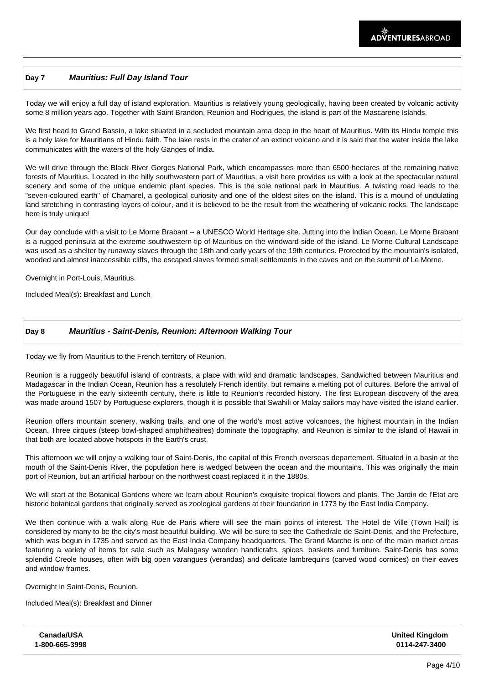#### **Day 7 Mauritius: Full Day Island Tour**

Today we will enjoy a full day of island exploration. Mauritius is relatively young geologically, having been created by volcanic activity some 8 million years ago. Together with Saint Brandon, Reunion and Rodrigues, the island is part of the Mascarene Islands.

We first head to Grand Bassin, a lake situated in a secluded mountain area deep in the heart of Mauritius. With its Hindu temple this is a holy lake for Mauritians of Hindu faith. The lake rests in the crater of an extinct volcano and it is said that the water inside the lake communicates with the waters of the holy Ganges of India.

We will drive through the Black River Gorges National Park, which encompasses more than 6500 hectares of the remaining native forests of Mauritius. Located in the hilly southwestern part of Mauritius, a visit here provides us with a look at the spectacular natural scenery and some of the unique endemic plant species. This is the sole national park in Mauritius. A twisting road leads to the "seven-coloured earth" of Chamarel, a geological curiosity and one of the oldest sites on the island. This is a mound of undulating land stretching in contrasting layers of colour, and it is believed to be the result from the weathering of volcanic rocks. The landscape here is truly unique!

Our day conclude with a visit to Le Morne Brabant -- a UNESCO World Heritage site. Jutting into the Indian Ocean, Le Morne Brabant is a rugged peninsula at the extreme southwestern tip of Mauritius on the windward side of the island. Le Morne Cultural Landscape was used as a shelter by runaway slaves through the 18th and early years of the 19th centuries. Protected by the mountain's isolated, wooded and almost inaccessible cliffs, the escaped slaves formed small settlements in the caves and on the summit of Le Morne.

Overnight in Port-Louis, Mauritius.

Included Meal(s): Breakfast and Lunch

### **Day 8 Mauritius - Saint-Denis, Reunion: Afternoon Walking Tour**

Today we fly from Mauritius to the French territory of Reunion.

Reunion is a ruggedly beautiful island of contrasts, a place with wild and dramatic landscapes. Sandwiched between Mauritius and Madagascar in the Indian Ocean, Reunion has a resolutely French identity, but remains a melting pot of cultures. Before the arrival of the Portuguese in the early sixteenth century, there is little to Reunion's recorded history. The first European discovery of the area was made around 1507 by Portuguese explorers, though it is possible that Swahili or Malay sailors may have visited the island earlier.

Reunion offers mountain scenery, walking trails, and one of the world's most active volcanoes, the highest mountain in the Indian Ocean. Three cirques (steep bowl-shaped amphitheatres) dominate the topography, and Reunion is similar to the island of Hawaii in that both are located above hotspots in the Earth's crust.

This afternoon we will enjoy a walking tour of Saint-Denis, the capital of this French overseas departement. Situated in a basin at the mouth of the Saint-Denis River, the population here is wedged between the ocean and the mountains. This was originally the main port of Reunion, but an artificial harbour on the northwest coast replaced it in the 1880s.

We will start at the Botanical Gardens where we learn about Reunion's exquisite tropical flowers and plants. The Jardin de l'Etat are historic botanical gardens that originally served as zoological gardens at their foundation in 1773 by the East India Company.

We then continue with a walk along Rue de Paris where will see the main points of interest. The Hotel de Ville (Town Hall) is considered by many to be the city's most beautiful building. We will be sure to see the Cathedrale de Saint-Denis, and the Prefecture, which was begun in 1735 and served as the East India Company headquarters. The Grand Marche is one of the main market areas featuring a variety of items for sale such as Malagasy wooden handicrafts, spices, baskets and furniture. Saint-Denis has some splendid Creole houses, often with big open varangues (verandas) and delicate lambrequins (carved wood cornices) on their eaves and window frames.

Overnight in Saint-Denis, Reunion.

Included Meal(s): Breakfast and Dinner

**Canada/USA 1-800-665-3998 United Kingdom 0114-247-3400**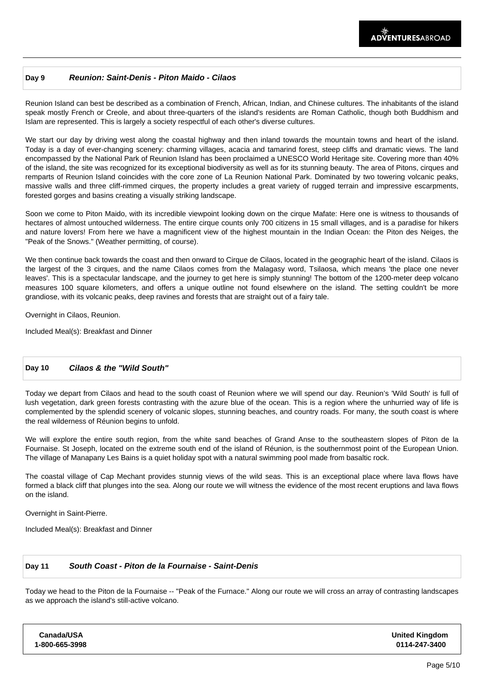#### **Day 9 Reunion: Saint-Denis - Piton Maido - Cilaos**

Reunion Island can best be described as a combination of French, African, Indian, and Chinese cultures. The inhabitants of the island speak mostly French or Creole, and about three-quarters of the island's residents are Roman Catholic, though both Buddhism and Islam are represented. This is largely a society respectful of each other's diverse cultures.

We start our day by driving west along the coastal highway and then inland towards the mountain towns and heart of the island. Today is a day of ever-changing scenery: charming villages, acacia and tamarind forest, steep cliffs and dramatic views. The land encompassed by the National Park of Reunion Island has been proclaimed a UNESCO World Heritage site. Covering more than 40% of the island, the site was recognized for its exceptional biodiversity as well as for its stunning beauty. The area of Pitons, cirques and remparts of Reunion Island coincides with the core zone of La Reunion National Park. Dominated by two towering volcanic peaks, massive walls and three cliff-rimmed cirques, the property includes a great variety of rugged terrain and impressive escarpments, forested gorges and basins creating a visually striking landscape.

Soon we come to Piton Maido, with its incredible viewpoint looking down on the cirque Mafate: Here one is witness to thousands of hectares of almost untouched wilderness. The entire cirque counts only 700 citizens in 15 small villages, and is a paradise for hikers and nature lovers! From here we have a magnificent view of the highest mountain in the Indian Ocean: the Piton des Neiges, the "Peak of the Snows." (Weather permitting, of course).

We then continue back towards the coast and then onward to Cirque de Cilaos, located in the geographic heart of the island. Cilaos is the largest of the 3 cirques, and the name Cilaos comes from the Malagasy word, Tsilaosa, which means 'the place one never leaves'. This is a spectacular landscape, and the journey to get here is simply stunning! The bottom of the 1200-meter deep volcano measures 100 square kilometers, and offers a unique outline not found elsewhere on the island. The setting couldn't be more grandiose, with its volcanic peaks, deep ravines and forests that are straight out of a fairy tale.

Overnight in Cilaos, Reunion.

Included Meal(s): Breakfast and Dinner

### **Day 10 Cilaos & the "Wild South"**

Today we depart from Cilaos and head to the south coast of Reunion where we will spend our day. Reunion's 'Wild South' is full of lush vegetation, dark green forests contrasting with the azure blue of the ocean. This is a region where the unhurried way of life is complemented by the splendid scenery of volcanic slopes, stunning beaches, and country roads. For many, the south coast is where the real wilderness of Réunion begins to unfold.

We will explore the entire south region, from the white sand beaches of Grand Anse to the southeastern slopes of Piton de la Fournaise. St Joseph, located on the extreme south end of the island of Réunion, is the southernmost point of the European Union. The village of Manapany Les Bains is a quiet holiday spot with a natural swimming pool made from basaltic rock.

The coastal village of Cap Mechant provides stunnig views of the wild seas. This is an exceptional place where lava flows have formed a black cliff that plunges into the sea. Along our route we will witness the evidence of the most recent eruptions and lava flows on the island.

Overnight in Saint-Pierre.

Included Meal(s): Breakfast and Dinner

#### **Day 11 South Coast - Piton de la Fournaise - Saint-Denis**

Today we head to the Piton de la Fournaise -- "Peak of the Furnace." Along our route we will cross an array of contrasting landscapes as we approach the island's still-active volcano.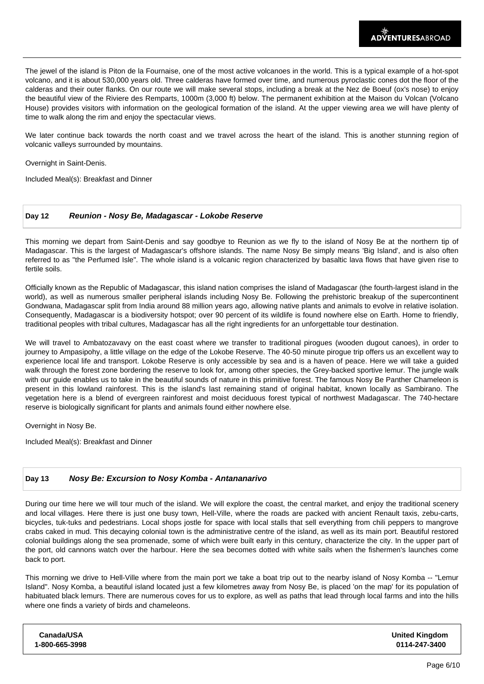The jewel of the island is Piton de la Fournaise, one of the most active volcanoes in the world. This is a typical example of a hot-spot volcano, and it is about 530,000 years old. Three calderas have formed over time, and numerous pyroclastic cones dot the floor of the calderas and their outer flanks. On our route we will make several stops, including a break at the Nez de Boeuf (ox's nose) to enjoy the beautiful view of the Riviere des Remparts, 1000m (3,000 ft) below. The permanent exhibition at the Maison du Volcan (Volcano House) provides visitors with information on the geological formation of the island. At the upper viewing area we will have plenty of time to walk along the rim and enjoy the spectacular views.

We later continue back towards the north coast and we travel across the heart of the island. This is another stunning region of volcanic valleys surrounded by mountains.

Overnight in Saint-Denis.

Included Meal(s): Breakfast and Dinner

#### **Day 12 Reunion - Nosy Be, Madagascar - Lokobe Reserve**

This morning we depart from Saint-Denis and say goodbye to Reunion as we fly to the island of Nosy Be at the northern tip of Madagascar. This is the largest of Madagascar's offshore islands. The name Nosy Be simply means 'Big Island', and is also often referred to as "the Perfumed Isle". The whole island is a volcanic region characterized by basaltic lava flows that have given rise to fertile soils.

Officially known as the Republic of Madagascar, this island nation comprises the island of Madagascar (the fourth-largest island in the world), as well as numerous smaller peripheral islands including Nosy Be. Following the prehistoric breakup of the supercontinent Gondwana, Madagascar split from India around 88 million years ago, allowing native plants and animals to evolve in relative isolation. Consequently, Madagascar is a biodiversity hotspot; over 90 percent of its wildlife is found nowhere else on Earth. Home to friendly, traditional peoples with tribal cultures, Madagascar has all the right ingredients for an unforgettable tour destination.

We will travel to Ambatozavavy on the east coast where we transfer to traditional pirogues (wooden dugout canoes), in order to journey to Ampasipohy, a little village on the edge of the Lokobe Reserve. The 40-50 minute pirogue trip offers us an excellent way to experience local life and transport. Lokobe Reserve is only accessible by sea and is a haven of peace. Here we will take a guided walk through the forest zone bordering the reserve to look for, among other species, the Grey-backed sportive lemur. The jungle walk with our guide enables us to take in the beautiful sounds of nature in this primitive forest. The famous Nosy Be Panther Chameleon is present in this lowland rainforest. This is the island's last remaining stand of original habitat, known locally as Sambirano. The vegetation here is a blend of evergreen rainforest and moist deciduous forest typical of northwest Madagascar. The 740-hectare reserve is biologically significant for plants and animals found either nowhere else.

Overnight in Nosy Be.

Included Meal(s): Breakfast and Dinner

#### **Day 13 Nosy Be: Excursion to Nosy Komba - Antananarivo**

During our time here we will tour much of the island. We will explore the coast, the central market, and enjoy the traditional scenery and local villages. Here there is just one busy town, Hell-Ville, where the roads are packed with ancient Renault taxis, zebu-carts, bicycles, tuk-tuks and pedestrians. Local shops jostle for space with local stalls that sell everything from chili peppers to mangrove crabs caked in mud. This decaying colonial town is the administrative centre of the island, as well as its main port. Beautiful restored colonial buildings along the sea promenade, some of which were built early in this century, characterize the city. In the upper part of the port, old cannons watch over the harbour. Here the sea becomes dotted with white sails when the fishermen's launches come back to port.

This morning we drive to Hell-Ville where from the main port we take a boat trip out to the nearby island of Nosy Komba -- "Lemur Island". Nosy Komba, a beautiful island located just a few kilometres away from Nosy Be, is placed 'on the map' for its population of habituated black lemurs. There are numerous coves for us to explore, as well as paths that lead through local farms and into the hills where one finds a variety of birds and chameleons.

| Canada/USA     | <b>United Kingdom</b> |
|----------------|-----------------------|
| 1-800-665-3998 | 0114-247-3400         |
|                |                       |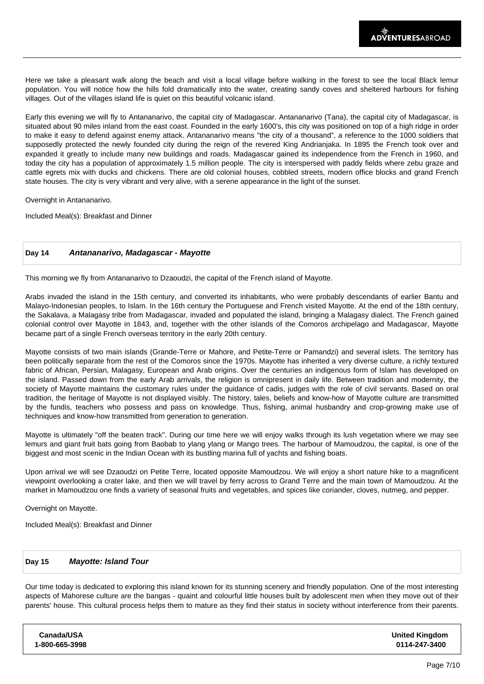Here we take a pleasant walk along the beach and visit a local village before walking in the forest to see the local Black lemur population. You will notice how the hills fold dramatically into the water, creating sandy coves and sheltered harbours for fishing villages. Out of the villages island life is quiet on this beautiful volcanic island.

Early this evening we will fly to Antananarivo, the capital city of Madagascar. Antananarivo (Tana), the capital city of Madagascar, is situated about 90 miles inland from the east coast. Founded in the early 1600's, this city was positioned on top of a high ridge in order to make it easy to defend against enemy attack. Antananarivo means "the city of a thousand", a reference to the 1000 soldiers that supposedly protected the newly founded city during the reign of the revered King Andrianjaka. In 1895 the French took over and expanded it greatly to include many new buildings and roads. Madagascar gained its independence from the French in 1960, and today the city has a population of approximately 1.5 million people. The city is interspersed with paddy fields where zebu graze and cattle egrets mix with ducks and chickens. There are old colonial houses, cobbled streets, modern office blocks and grand French state houses. The city is very vibrant and very alive, with a serene appearance in the light of the sunset.

Overnight in Antananarivo.

Included Meal(s): Breakfast and Dinner

#### **Day 14 Antananarivo, Madagascar - Mayotte**

This morning we fly from Antananarivo to Dzaoudzi, the capital of the French island of Mayotte.

Arabs invaded the island in the 15th century, and converted its inhabitants, who were probably descendants of earlier Bantu and Malayo-Indonesian peoples, to Islam. In the 16th century the Portuguese and French visited Mayotte. At the end of the 18th century, the Sakalava, a Malagasy tribe from Madagascar, invaded and populated the island, bringing a Malagasy dialect. The French gained colonial control over Mayotte in 1843, and, together with the other islands of the Comoros archipelago and Madagascar, Mayotte became part of a single French overseas territory in the early 20th century.

Mayotte consists of two main islands (Grande-Terre or Mahore, and Petite-Terre or Pamandzi) and several islets. The territory has been politically separate from the rest of the Comoros since the 1970s. Mayotte has inherited a very diverse culture, a richly textured fabric of African, Persian, Malagasy, European and Arab origins. Over the centuries an indigenous form of Islam has developed on the island. Passed down from the early Arab arrivals, the religion is omnipresent in daily life. Between tradition and modernity, the society of Mayotte maintains the customary rules under the guidance of cadis, judges with the role of civil servants. Based on oral tradition, the heritage of Mayotte is not displayed visibly. The history, tales, beliefs and know-how of Mayotte culture are transmitted by the fundis, teachers who possess and pass on knowledge. Thus, fishing, animal husbandry and crop-growing make use of techniques and know-how transmitted from generation to generation.

Mayotte is ultimately "off the beaten track". During our time here we will enjoy walks through its lush vegetation where we may see lemurs and giant fruit bats going from Baobab to ylang ylang or Mango trees. The harbour of Mamoudzou, the capital, is one of the biggest and most scenic in the Indian Ocean with its bustling marina full of yachts and fishing boats.

Upon arrival we will see Dzaoudzi on Petite Terre, located opposite Mamoudzou. We will enjoy a short nature hike to a magnificent viewpoint overlooking a crater lake, and then we will travel by ferry across to Grand Terre and the main town of Mamoudzou. At the market in Mamoudzou one finds a variety of seasonal fruits and vegetables, and spices like coriander, cloves, nutmeg, and pepper.

Overnight on Mayotte.

Included Meal(s): Breakfast and Dinner

#### **Day 15 Mayotte: Island Tour**

Our time today is dedicated to exploring this island known for its stunning scenery and friendly population. One of the most interesting aspects of Mahorese culture are the bangas - quaint and colourful little houses built by adolescent men when they move out of their parents' house. This cultural process helps them to mature as they find their status in society without interference from their parents.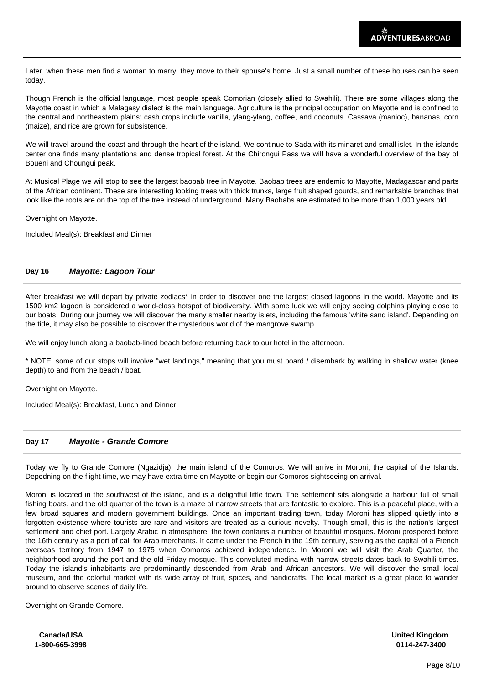Later, when these men find a woman to marry, they move to their spouse's home. Just a small number of these houses can be seen today.

Though French is the official language, most people speak Comorian (closely allied to Swahili). There are some villages along the Mayotte coast in which a Malagasy dialect is the main language. Agriculture is the principal occupation on Mayotte and is confined to the central and northeastern plains; cash crops include vanilla, ylang-ylang, coffee, and coconuts. Cassava (manioc), bananas, corn (maize), and rice are grown for subsistence.

We will travel around the coast and through the heart of the island. We continue to Sada with its minaret and small islet. In the islands center one finds many plantations and dense tropical forest. At the Chirongui Pass we will have a wonderful overview of the bay of Boueni and Choungui peak.

At Musical Plage we will stop to see the largest baobab tree in Mayotte. Baobab trees are endemic to Mayotte, Madagascar and parts of the African continent. These are interesting looking trees with thick trunks, large fruit shaped gourds, and remarkable branches that look like the roots are on the top of the tree instead of underground. Many Baobabs are estimated to be more than 1,000 years old.

Overnight on Mayotte.

Included Meal(s): Breakfast and Dinner

#### **Day 16 Mayotte: Lagoon Tour**

After breakfast we will depart by private zodiacs\* in order to discover one the largest closed lagoons in the world. Mayotte and its 1500 km2 lagoon is considered a world-class hotspot of biodiversity. With some luck we will enjoy seeing dolphins playing close to our boats. During our journey we will discover the many smaller nearby islets, including the famous 'white sand island'. Depending on the tide, it may also be possible to discover the mysterious world of the mangrove swamp.

We will enjoy lunch along a baobab-lined beach before returning back to our hotel in the afternoon.

\* NOTE: some of our stops will involve "wet landings," meaning that you must board / disembark by walking in shallow water (knee depth) to and from the beach / boat.

Overnight on Mayotte.

Included Meal(s): Breakfast, Lunch and Dinner

#### **Day 17 Mayotte - Grande Comore**

Today we fly to Grande Comore (Ngazidja), the main island of the Comoros. We will arrive in Moroni, the capital of the Islands. Depedning on the flight time, we may have extra time on Mayotte or begin our Comoros sightseeing on arrival.

Moroni is located in the southwest of the island, and is a delightful little town. The settlement sits alongside a harbour full of small fishing boats, and the old quarter of the town is a maze of narrow streets that are fantastic to explore. This is a peaceful place, with a few broad squares and modern government buildings. Once an important trading town, today Moroni has slipped quietly into a forgotten existence where tourists are rare and visitors are treated as a curious novelty. Though small, this is the nation's largest settlement and chief port. Largely Arabic in atmosphere, the town contains a number of beautiful mosques. Moroni prospered before the 16th century as a port of call for Arab merchants. It came under the French in the 19th century, serving as the capital of a French overseas territory from 1947 to 1975 when Comoros achieved independence. In Moroni we will visit the Arab Quarter, the neighborhood around the port and the old Friday mosque. This convoluted medina with narrow streets dates back to Swahili times. Today the island's inhabitants are predominantly descended from Arab and African ancestors. We will discover the small local museum, and the colorful market with its wide array of fruit, spices, and handicrafts. The local market is a great place to wander around to observe scenes of daily life.

Overnight on Grande Comore.

| Canada/USA     | <b>United Kingdom</b> |
|----------------|-----------------------|
| 1-800-665-3998 | 0114-247-3400         |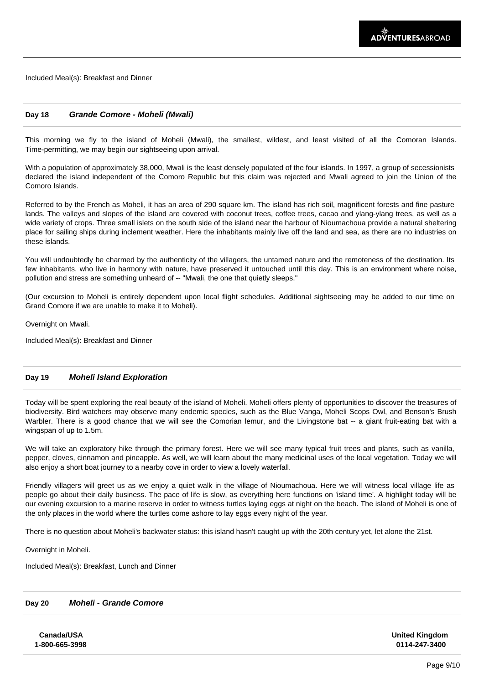Included Meal(s): Breakfast and Dinner

#### **Day 18 Grande Comore - Moheli (Mwali)**

This morning we fly to the island of Moheli (Mwali), the smallest, wildest, and least visited of all the Comoran Islands. Time-permitting, we may begin our sightseeing upon arrival.

With a population of approximately 38,000, Mwali is the least densely populated of the four islands. In 1997, a group of secessionists declared the island independent of the Comoro Republic but this claim was rejected and Mwali agreed to join the Union of the Comoro Islands.

Referred to by the French as Moheli, it has an area of 290 square km. The island has rich soil, magnificent forests and fine pasture lands. The valleys and slopes of the island are covered with coconut trees, coffee trees, cacao and ylang-ylang trees, as well as a wide variety of crops. Three small islets on the south side of the island near the harbour of Nioumachoua provide a natural sheltering place for sailing ships during inclement weather. Here the inhabitants mainly live off the land and sea, as there are no industries on these islands.

You will undoubtedly be charmed by the authenticity of the villagers, the untamed nature and the remoteness of the destination. Its few inhabitants, who live in harmony with nature, have preserved it untouched until this day. This is an environment where noise, pollution and stress are something unheard of -- "Mwali, the one that quietly sleeps."

(Our excursion to Moheli is entirely dependent upon local flight schedules. Additional sightseeing may be added to our time on Grand Comore if we are unable to make it to Moheli).

 Overnight on Mwali.

Included Meal(s): Breakfast and Dinner

#### **Day 19 Moheli Island Exploration**

Today will be spent exploring the real beauty of the island of Moheli. Moheli offers plenty of opportunities to discover the treasures of biodiversity. Bird watchers may observe many endemic species, such as the Blue Vanga, Moheli Scops Owl, and Benson's Brush Warbler. There is a good chance that we will see the Comorian lemur, and the Livingstone bat -- a giant fruit-eating bat with a wingspan of up to 1.5m.

We will take an exploratory hike through the primary forest. Here we will see many typical fruit trees and plants, such as vanilla, pepper, cloves, cinnamon and pineapple. As well, we will learn about the many medicinal uses of the local vegetation. Today we will also enjoy a short boat journey to a nearby cove in order to view a lovely waterfall.

Friendly villagers will greet us as we enjoy a quiet walk in the village of Nioumachoua. Here we will witness local village life as people go about their daily business. The pace of life is slow, as everything here functions on 'island time'. A highlight today will be our evening excursion to a marine reserve in order to witness turtles laying eggs at night on the beach. The island of Moheli is one of the only places in the world where the turtles come ashore to lay eggs every night of the year.

There is no question about Moheli's backwater status: this island hasn't caught up with the 20th century yet, let alone the 21st.

Overnight in Moheli.

Included Meal(s): Breakfast, Lunch and Dinner

### **Day 20 Moheli - Grande Comore**

**Canada/USA 1-800-665-3998** **United Kingdom 0114-247-3400**